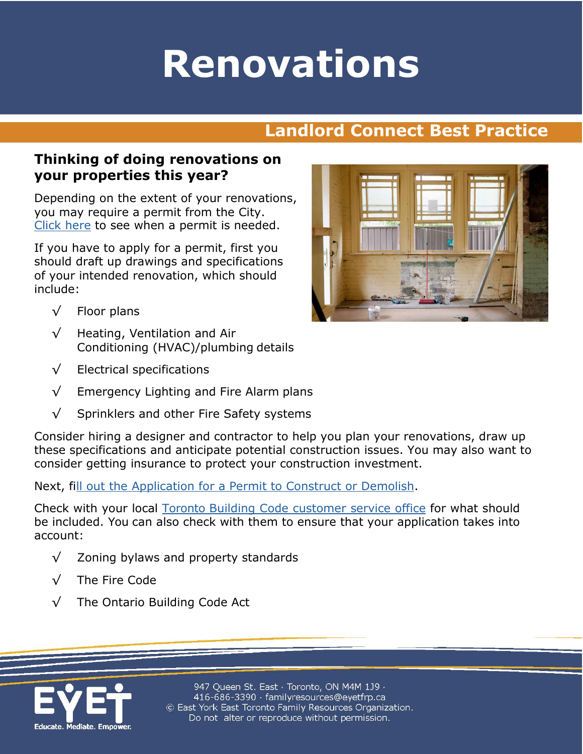# **Renovations**

## **Landlord Connect Best Practice**

#### **Thinking of doing renovations on your properties this year?**

Depending on the extent of your renovations, you may require a permit from the City. [Click here](https://www.toronto.ca/services-payments/building-construction/apply-for-a-building-permit/) to see when a permit is needed.

If you have to apply for a permit, first you should draft up drawings and specifications of your intended renovation, which should include:

- √ Floor plans
- √ Heating, Ventilation and Air Conditioning (HVAC)/plumbing details
- $\sqrt{\phantom{a}}$  Electrical specifications
- √ Emergency Lighting and Fire Alarm plans
- √ Sprinklers and other Fire Safety systems

Consider hiring a designer and contractor to help you plan your renovations, draw up these specifications and anticipate potential construction issues. You may also want to consider getting insurance to protect your construction investment.

Next, f[ill out the Application for a Permit to Construct or Demolish.](http://www.mah.gov.on.ca/Asset12410.aspx?method=1)

Check with your local [Toronto Building Code customer service office](https://www.toronto.ca/services-payments/building-construction/apply-for-a-building-permit/toronto-building-contact-us/) for what should be included. You can also check with them to ensure that your application takes into account:

- √ Zoning bylaws and property standards
- √ The Fire Code
- √ The Ontario Building Code Act



947 Queen St. East · Toronto, ON M4M 1J9 · 416-686-3390 · familyresources@eyetfrp.ca © East York East Toronto Family Resources Organization. Do not alter or reproduce without permission.